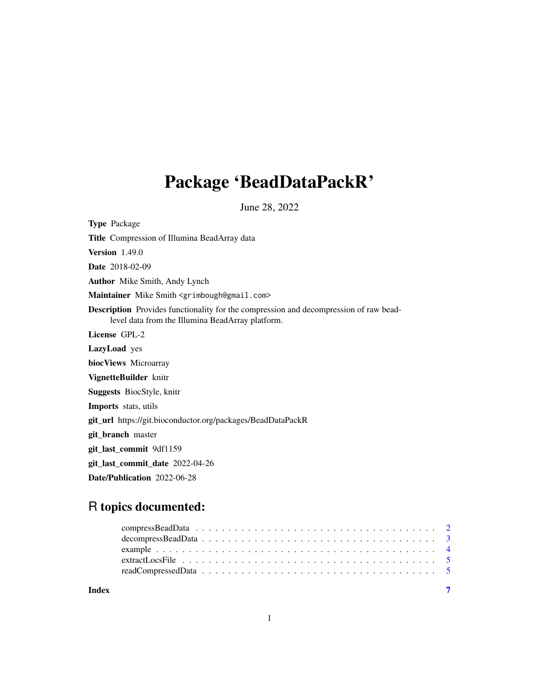## Package 'BeadDataPackR'

June 28, 2022

<span id="page-0-0"></span>Type Package Title Compression of Illumina BeadArray data Version 1.49.0 Date 2018-02-09 Author Mike Smith, Andy Lynch Maintainer Mike Smith <grimbough@gmail.com> Description Provides functionality for the compression and decompression of raw beadlevel data from the Illumina BeadArray platform. License GPL-2 LazyLoad yes biocViews Microarray VignetteBuilder knitr Suggests BiocStyle, knitr Imports stats, utils git\_url https://git.bioconductor.org/packages/BeadDataPackR git\_branch master git\_last\_commit 9df1159 git\_last\_commit\_date 2022-04-26 Date/Publication 2022-06-28

### R topics documented:

| Index |  |  |  |  |  |  |  |  |  |  |  |  |  |  |  |  |  |
|-------|--|--|--|--|--|--|--|--|--|--|--|--|--|--|--|--|--|
|       |  |  |  |  |  |  |  |  |  |  |  |  |  |  |  |  |  |
|       |  |  |  |  |  |  |  |  |  |  |  |  |  |  |  |  |  |
|       |  |  |  |  |  |  |  |  |  |  |  |  |  |  |  |  |  |
|       |  |  |  |  |  |  |  |  |  |  |  |  |  |  |  |  |  |
|       |  |  |  |  |  |  |  |  |  |  |  |  |  |  |  |  |  |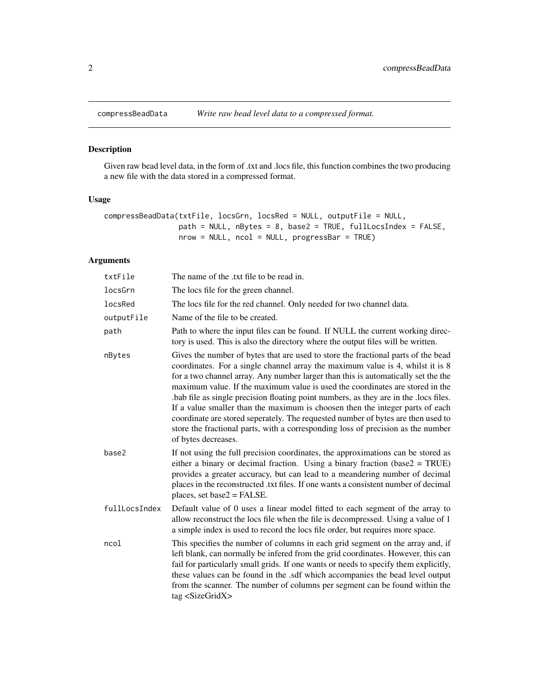<span id="page-1-0"></span>

#### Description

Given raw bead level data, in the form of .txt and .locs file, this function combines the two producing a new file with the data stored in a compressed format.

#### Usage

```
compressBeadData(txtFile, locsGrn, locsRed = NULL, outputFile = NULL,
                path = NULL, nBytes = 8, base2 = TRUE, fullLocsIndex = FALSE,
                nrow = NULL, ncol = NULL, progressBar = TRUE)
```
#### Arguments

| txtFile       | The name of the .txt file to be read in.                                                                                                                                                                                                                                                                                                                                                                                                                                                                                                                                                                                                                                                                         |
|---------------|------------------------------------------------------------------------------------------------------------------------------------------------------------------------------------------------------------------------------------------------------------------------------------------------------------------------------------------------------------------------------------------------------------------------------------------------------------------------------------------------------------------------------------------------------------------------------------------------------------------------------------------------------------------------------------------------------------------|
| locsGrn       | The locs file for the green channel.                                                                                                                                                                                                                                                                                                                                                                                                                                                                                                                                                                                                                                                                             |
| locsRed       | The locs file for the red channel. Only needed for two channel data.                                                                                                                                                                                                                                                                                                                                                                                                                                                                                                                                                                                                                                             |
| outputFile    | Name of the file to be created.                                                                                                                                                                                                                                                                                                                                                                                                                                                                                                                                                                                                                                                                                  |
| path          | Path to where the input files can be found. If NULL the current working direc-<br>tory is used. This is also the directory where the output files will be written.                                                                                                                                                                                                                                                                                                                                                                                                                                                                                                                                               |
| nBytes        | Gives the number of bytes that are used to store the fractional parts of the bead<br>coordinates. For a single channel array the maximum value is 4, whilst it is 8<br>for a two channel array. Any number larger than this is automatically set the the<br>maximum value. If the maximum value is used the coordinates are stored in the<br>bab file as single precision floating point numbers, as they are in the locs files.<br>If a value smaller than the maximum is choosen then the integer parts of each<br>coordinate are stored seperately. The requested number of bytes are then used to<br>store the fractional parts, with a corresponding loss of precision as the number<br>of bytes decreases. |
| base2         | If not using the full precision coordinates, the approximations can be stored as<br>either a binary or decimal fraction. Using a binary fraction ( $base2 = TRUE$ )<br>provides a greater accuracy, but can lead to a meandering number of decimal<br>places in the reconstructed .txt files. If one wants a consistent number of decimal<br>places, set base $2 =$ FALSE.                                                                                                                                                                                                                                                                                                                                       |
| fullLocsIndex | Default value of 0 uses a linear model fitted to each segment of the array to<br>allow reconstruct the locs file when the file is decompressed. Using a value of 1<br>a simple index is used to record the locs file order, but requires more space.                                                                                                                                                                                                                                                                                                                                                                                                                                                             |
| ncol          | This specifies the number of columns in each grid segment on the array and, if<br>left blank, can normally be infered from the grid coordinates. However, this can<br>fail for particularly small grids. If one wants or needs to specify them explicitly,<br>these values can be found in the .sdf which accompanies the bead level output<br>from the scanner. The number of columns per segment can be found within the<br>tag <sizegridx></sizegridx>                                                                                                                                                                                                                                                        |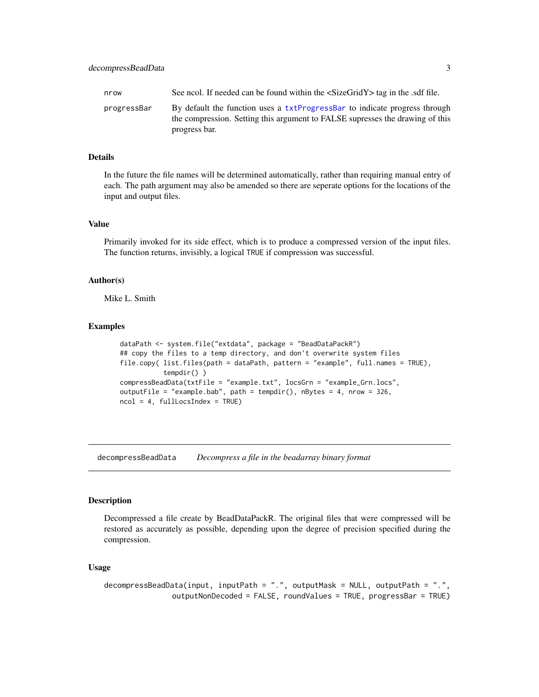progress bar.

the compression. Setting this argument to FALSE supresses the drawing of this

#### <span id="page-2-0"></span>Details

In the future the file names will be determined automatically, rather than requiring manual entry of each. The path argument may also be amended so there are seperate options for the locations of the input and output files.

#### Value

Primarily invoked for its side effect, which is to produce a compressed version of the input files. The function returns, invisibly, a logical TRUE if compression was successful.

#### Author(s)

Mike L. Smith

#### Examples

```
dataPath <- system.file("extdata", package = "BeadDataPackR")
## copy the files to a temp directory, and don't overwrite system files
file.copy( list.files(path = dataPath, pattern = "example", full.names = TRUE),
           tempdir() )
compressBeadData(txtFile = "example.txt", locsGrn = "example_Grn.locs",
outputFile = "example.bab", path = tempdir(), nBytes = 4, nrow = 326,
ncol = 4, fullLockIndex = TRUE)
```
decompressBeadData *Decompress a file in the beadarray binary format*

#### **Description**

Decompressed a file create by BeadDataPackR. The original files that were compressed will be restored as accurately as possible, depending upon the degree of precision specified during the compression.

#### Usage

```
decompressBeadData(input, inputPath = ".", outputMask = NULL, outputPath = ".",
               outputNonDecoded = FALSE, roundValues = TRUE, progressBar = TRUE)
```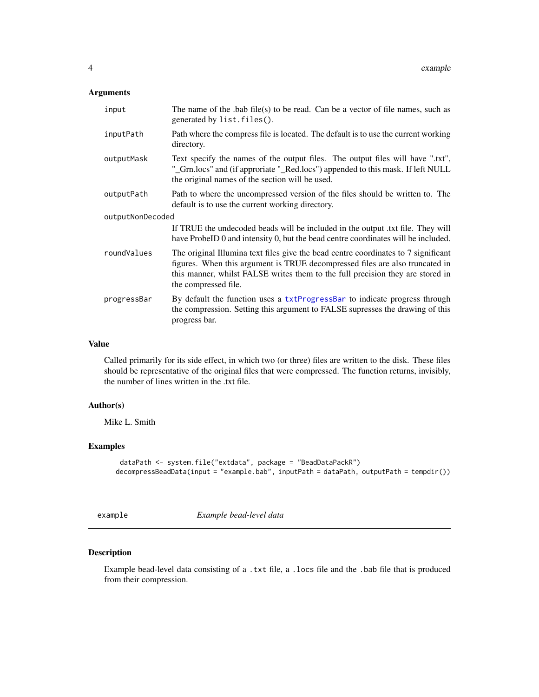#### <span id="page-3-0"></span>Arguments

| input            | The name of the $ab$ file(s) to be read. Can be a vector of file names, such as<br>generated by list.files().                                                                                                                                                                |  |  |  |  |
|------------------|------------------------------------------------------------------------------------------------------------------------------------------------------------------------------------------------------------------------------------------------------------------------------|--|--|--|--|
| inputPath        | Path where the compress file is located. The default is to use the current working<br>directory.                                                                                                                                                                             |  |  |  |  |
| outputMask       | Text specify the names of the output files. The output files will have ".txt",<br>"_Grn.locs" and (if approriate "_Red.locs") appended to this mask. If left NULL<br>the original names of the section will be used.                                                         |  |  |  |  |
| outputPath       | Path to where the uncompressed version of the files should be written to. The<br>default is to use the current working directory.                                                                                                                                            |  |  |  |  |
| outputNonDecoded |                                                                                                                                                                                                                                                                              |  |  |  |  |
|                  | If TRUE the undecoded beads will be included in the output txt file. They will<br>have ProbeID 0 and intensity 0, but the bead centre coordinates will be included.                                                                                                          |  |  |  |  |
| roundValues      | The original Illumina text files give the bead centre coordinates to 7 significant<br>figures. When this argument is TRUE decompressed files are also truncated in<br>this manner, whilst FALSE writes them to the full precision they are stored in<br>the compressed file. |  |  |  |  |
| progressBar      | By default the function uses a txtProgressBar to indicate progress through<br>the compression. Setting this argument to FALSE supresses the drawing of this<br>progress bar.                                                                                                 |  |  |  |  |

#### Value

Called primarily for its side effect, in which two (or three) files are written to the disk. These files should be representative of the original files that were compressed. The function returns, invisibly, the number of lines written in the .txt file.

#### Author(s)

Mike L. Smith

#### Examples

```
dataPath <- system.file("extdata", package = "BeadDataPackR")
decompressBeadData(input = "example.bab", inputPath = dataPath, outputPath = tempdir())
```
example *Example bead-level data*

#### Description

Example bead-level data consisting of a .txt file, a .locs file and the .bab file that is produced from their compression.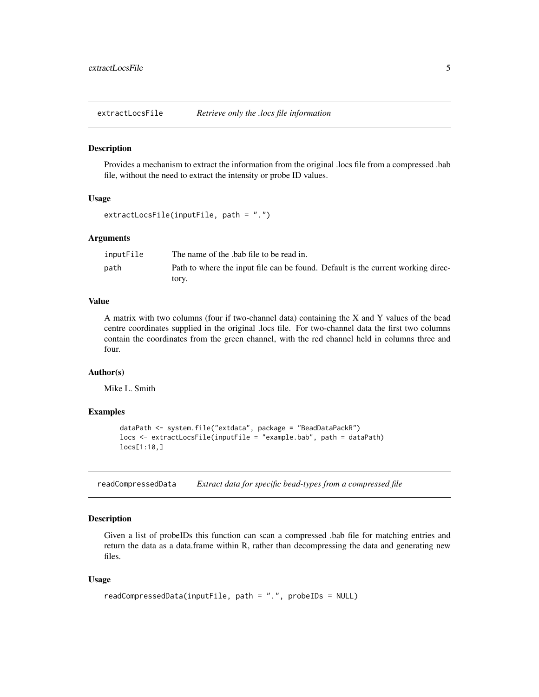<span id="page-4-0"></span>extractLocsFile *Retrieve only the .locs file information*

#### Description

Provides a mechanism to extract the information from the original .locs file from a compressed .bab file, without the need to extract the intensity or probe ID values.

#### Usage

```
extractLocsFile(inputFile, path = ".")
```
#### Arguments

| inputFile | The name of the bab file to be read in.                                          |
|-----------|----------------------------------------------------------------------------------|
| path      | Path to where the input file can be found. Default is the current working direc- |
|           | tory.                                                                            |

#### Value

A matrix with two columns (four if two-channel data) containing the X and Y values of the bead centre coordinates supplied in the original .locs file. For two-channel data the first two columns contain the coordinates from the green channel, with the red channel held in columns three and four.

#### Author(s)

Mike L. Smith

#### Examples

```
dataPath <- system.file("extdata", package = "BeadDataPackR")
locs <- extractLocsFile(inputFile = "example.bab", path = dataPath)
locs[1:10,]
```
readCompressedData *Extract data for specific bead-types from a compressed file*

#### Description

Given a list of probeIDs this function can scan a compressed .bab file for matching entries and return the data as a data.frame within R, rather than decompressing the data and generating new files.

#### Usage

```
readCompressedData(inputFile, path = ".", probeIDs = NULL)
```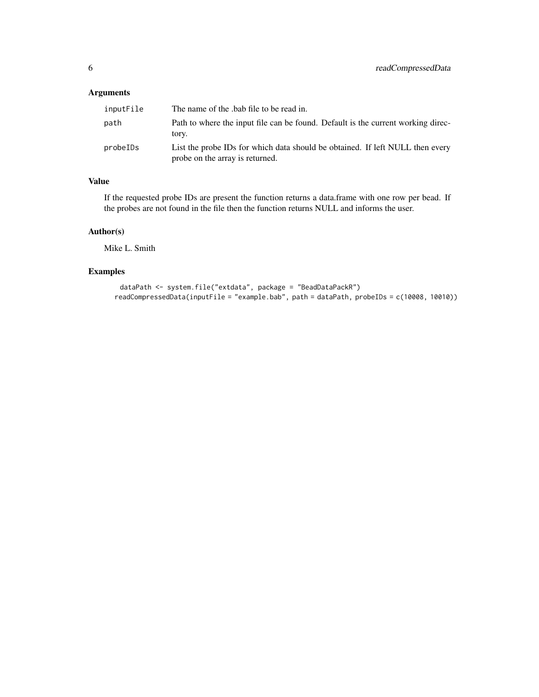#### Arguments

| inputFile | The name of the bab file to be read in.                                                                          |
|-----------|------------------------------------------------------------------------------------------------------------------|
| path      | Path to where the input file can be found. Default is the current working direc-<br>tory.                        |
| probelDs  | List the probe IDs for which data should be obtained. If left NULL then every<br>probe on the array is returned. |

#### Value

If the requested probe IDs are present the function returns a data.frame with one row per bead. If the probes are not found in the file then the function returns NULL and informs the user.

#### Author(s)

Mike L. Smith

#### Examples

```
dataPath <- system.file("extdata", package = "BeadDataPackR")
readCompressedData(inputFile = "example.bab", path = dataPath, probeIDs = c(10008, 10010))
```